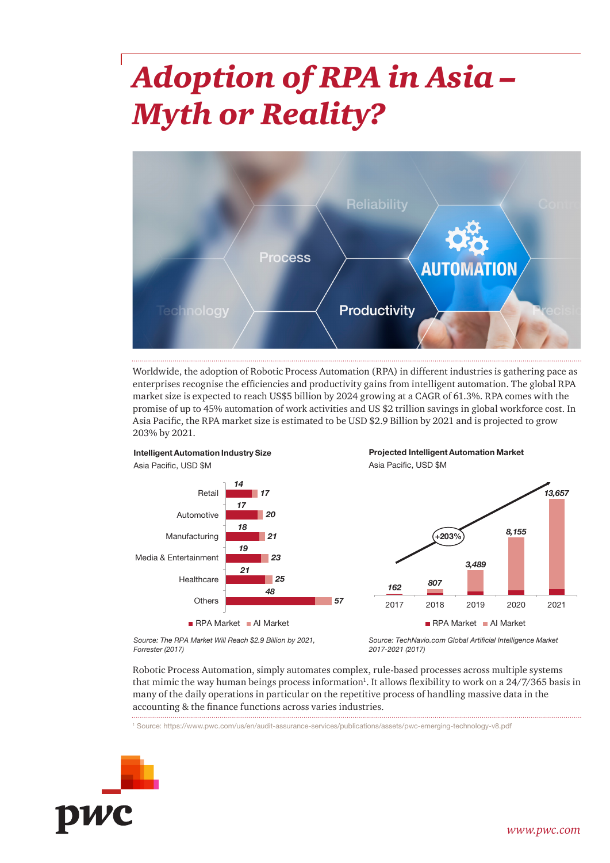# *Adoption of RPA in Asia – Myth or Reality?*



Worldwide, the adoption of Robotic Process Automation (RPA) in different industries is gathering pace as enterprises recognise the efficiencies and productivity gains from intelligent automation. The global RPA market size is expected to reach US\$5 billion by 2024 growing at a CAGR of 61.3%. RPA comes with the promise of up to 45% automation of work activities and US \$2 trillion savings in global workforce cost. In Asia Pacific, the RPA market size is estimated to be USD \$2.9 Billion by 2021 and is projected to grow 203% by 2021.







*Source: The RPA Market Will Reach \$2.9 Billion by 2021, Forrester (2017)*

*Source: TechNavio.com Global Artificial Intelligence Market 2017-2021 (2017)*

Robotic Process Automation, simply automates complex, rule-based processes across multiple systems that mimic the way human beings process information<sup>1</sup>. It allows flexibility to work on a 24/7/365 basis in many of the daily operations in particular on the repetitive process of handling massive data in the accounting & the finance functions across varies industries.

<sup>1</sup> Source: https://www.pwc.com/us/en/audit-assurance-services/publications/assets/pwc-emerging-technology-v8.pdf

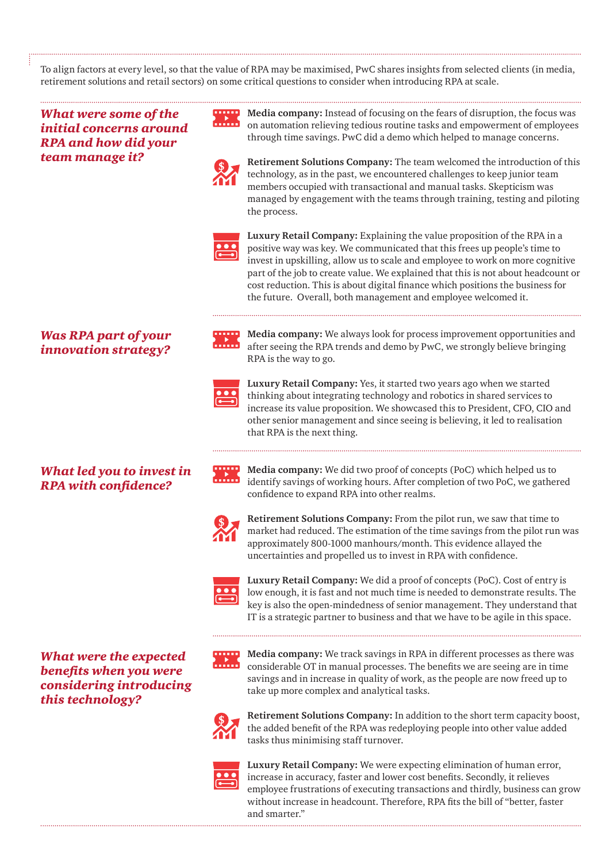To align factors at every level, so that the value of RPA may be maximised, PwC shares insights from selected clients (in media, retirement solutions and retail sectors) on some critical questions to consider when introducing RPA at scale.

*What were some of the initial concerns around RPA and how did your team manage it?*

**Media company:** Instead of focusing on the fears of disruption, the focus was on automation relieving tedious routine tasks and empowerment of employees through time savings. PwC did a demo which helped to manage concerns.



**Retirement Solutions Company:** The team welcomed the introduction of this technology, as in the past, we encountered challenges to keep junior team members occupied with transactional and manual tasks. Skepticism was managed by engagement with the teams through training, testing and piloting the process.



**Luxury Retail Company:** Explaining the value proposition of the RPA in a positive way was key. We communicated that this frees up people's time to invest in upskilling, allow us to scale and employee to work on more cognitive part of the job to create value. We explained that this is not about headcount or cost reduction. This is about digital finance which positions the business for the future. Overall, both management and employee welcomed it.

#### *Was RPA part of your innovation strategy?*



RPA is the way to go. **Luxury Retail Company:** Yes, it started two years ago when we started thinking about integrating technology and robotics in shared services to

increase its value proposition. We showcased this to President, CFO, CIO and other senior management and since seeing is believing, it led to realisation

**Media company:** We always look for process improvement opportunities and after seeing the RPA trends and demo by PwC, we strongly believe bringing

*What led you to invest in RPA with confidence?*

that RPA is the next thing.

**Media company:** We did two proof of concepts (PoC) which helped us to identify savings of working hours. After completion of two PoC, we gathered confidence to expand RPA into other realms.



**Retirement Solutions Company:** From the pilot run, we saw that time to market had reduced. The estimation of the time savings from the pilot run was approximately 800-1000 manhours/month. This evidence allayed the uncertainties and propelled us to invest in RPA with confidence.



**Luxury Retail Company:** We did a proof of concepts (PoC). Cost of entry is low enough, it is fast and not much time is needed to demonstrate results. The key is also the open-mindedness of senior management. They understand that IT is a strategic partner to business and that we have to be agile in this space.

*What were the expected benefits when you were considering introducing this technology?*

**Media company:** We track savings in RPA in different processes as there was considerable OT in manual processes. The benefits we are seeing are in time savings and in increase in quality of work, as the people are now freed up to take up more complex and analytical tasks.



**Retirement Solutions Company:** In addition to the short term capacity boost, the added benefit of the RPA was redeploying people into other value added tasks thus minimising staff turnover.



**Luxury Retail Company:** We were expecting elimination of human error, increase in accuracy, faster and lower cost benefits. Secondly, it relieves employee frustrations of executing transactions and thirdly, business can grow without increase in headcount. Therefore, RPA fits the bill of "better, faster and smarter."